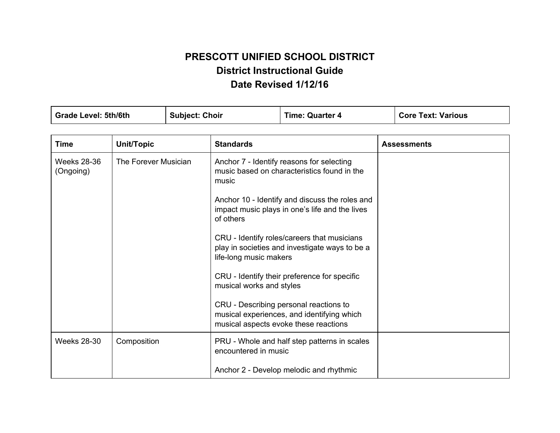## **PRESCOTT UNIFIED SCHOOL DISTRICT District Instructional Guide Date Revised 1/12/16**

| <b>Grade Level: 5th/6th</b>     |                      | <b>Subject: Choir</b> |                                                                          | <b>Time: Quarter 4</b>                                                                                                                                                                                                                                                                                                                                                                                                                | <b>Core Text: Various</b> |
|---------------------------------|----------------------|-----------------------|--------------------------------------------------------------------------|---------------------------------------------------------------------------------------------------------------------------------------------------------------------------------------------------------------------------------------------------------------------------------------------------------------------------------------------------------------------------------------------------------------------------------------|---------------------------|
|                                 |                      |                       |                                                                          |                                                                                                                                                                                                                                                                                                                                                                                                                                       |                           |
| <b>Time</b>                     | Unit/Topic           |                       | <b>Standards</b>                                                         |                                                                                                                                                                                                                                                                                                                                                                                                                                       | <b>Assessments</b>        |
| <b>Weeks 28-36</b><br>(Ongoing) | The Forever Musician |                       | music<br>of others<br>life-long music makers<br>musical works and styles | Anchor 7 - Identify reasons for selecting<br>music based on characteristics found in the<br>Anchor 10 - Identify and discuss the roles and<br>impact music plays in one's life and the lives<br>CRU - Identify roles/careers that musicians<br>play in societies and investigate ways to be a<br>CRU - Identify their preference for specific<br>CRU - Describing personal reactions to<br>musical experiences, and identifying which |                           |
|                                 |                      |                       |                                                                          | musical aspects evoke these reactions                                                                                                                                                                                                                                                                                                                                                                                                 |                           |
| <b>Weeks 28-30</b>              | Composition          |                       | encountered in music                                                     | PRU - Whole and half step patterns in scales                                                                                                                                                                                                                                                                                                                                                                                          |                           |
|                                 |                      |                       |                                                                          | Anchor 2 - Develop melodic and rhythmic                                                                                                                                                                                                                                                                                                                                                                                               |                           |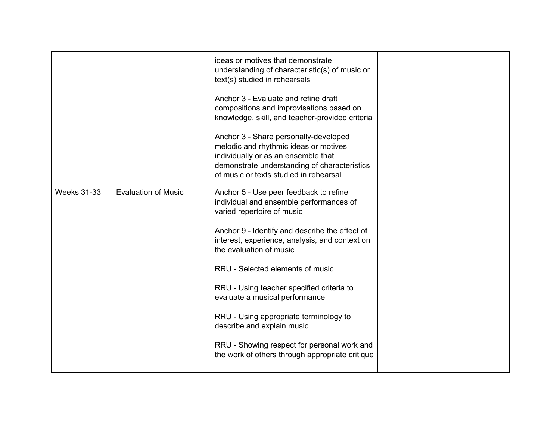|                    |                            | ideas or motives that demonstrate<br>understanding of characteristic(s) of music or<br>text(s) studied in rehearsals<br>Anchor 3 - Evaluate and refine draft<br>compositions and improvisations based on<br>knowledge, skill, and teacher-provided criteria<br>Anchor 3 - Share personally-developed<br>melodic and rhythmic ideas or motives<br>individually or as an ensemble that<br>demonstrate understanding of characteristics<br>of music or texts studied in rehearsal                                                              |  |
|--------------------|----------------------------|---------------------------------------------------------------------------------------------------------------------------------------------------------------------------------------------------------------------------------------------------------------------------------------------------------------------------------------------------------------------------------------------------------------------------------------------------------------------------------------------------------------------------------------------|--|
| <b>Weeks 31-33</b> | <b>Evaluation of Music</b> | Anchor 5 - Use peer feedback to refine<br>individual and ensemble performances of<br>varied repertoire of music<br>Anchor 9 - Identify and describe the effect of<br>interest, experience, analysis, and context on<br>the evaluation of music<br>RRU - Selected elements of music<br>RRU - Using teacher specified criteria to<br>evaluate a musical performance<br>RRU - Using appropriate terminology to<br>describe and explain music<br>RRU - Showing respect for personal work and<br>the work of others through appropriate critique |  |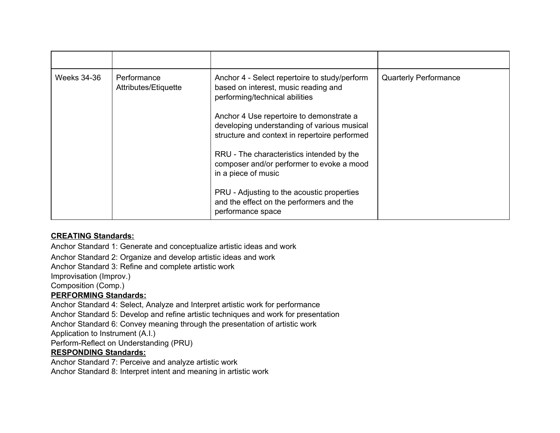| Weeks 34-36 | Performance<br>Attributes/Etiquette | Anchor 4 - Select repertoire to study/perform<br>based on interest, music reading and<br>performing/technical abilities<br>Anchor 4 Use repertoire to demonstrate a<br>developing understanding of various musical<br>structure and context in repertoire performed<br>RRU - The characteristics intended by the<br>composer and/or performer to evoke a mood<br>in a piece of music<br>PRU - Adjusting to the acoustic properties<br>and the effect on the performers and the | <b>Quarterly Performance</b> |
|-------------|-------------------------------------|--------------------------------------------------------------------------------------------------------------------------------------------------------------------------------------------------------------------------------------------------------------------------------------------------------------------------------------------------------------------------------------------------------------------------------------------------------------------------------|------------------------------|
|             |                                     | performance space                                                                                                                                                                                                                                                                                                                                                                                                                                                              |                              |

## **CREATING Standards:**

Anchor Standard 1: Generate and conceptualize artistic ideas and work Anchor Standard 2: Organize and develop artistic ideas and work Anchor Standard 3: Refine and complete artistic work Improvisation (Improv.) Composition (Comp.) **PERFORMING Standards:** Anchor Standard 4: Select, Analyze and Interpret artistic work for performance Anchor Standard 5: Develop and refine artistic techniques and work for presentation

Anchor Standard 6: Convey meaning through the presentation of artistic work

Application to Instrument (A.I.)

Perform-Reflect on Understanding (PRU)

## **RESPONDING Standards:**

Anchor Standard 7: Perceive and analyze artistic work Anchor Standard 8: Interpret intent and meaning in artistic work